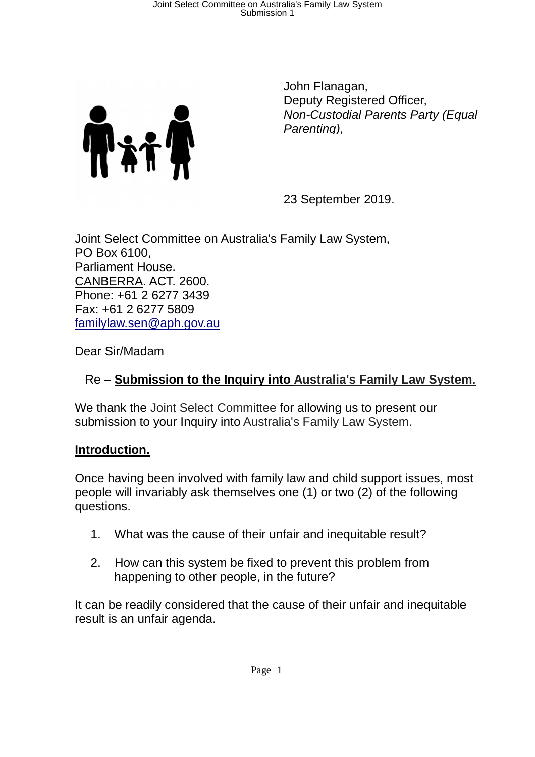

John Flanagan, Deputy Registered Officer, Non-Custodial Parents Party (Equal Parenting),

23 September 2019.

Joint Select Committee on Australia's Family Law System, PO Box 6100, Parliament House. CANBERRA. ACT. 2600. Phone: +61 2 6277 3439 Fax: +61 2 6277 5809 familylaw.sen@aph.gov.au

Dear Sir/Madam

### Re – **Submission to the Inquiry into Australia's Family Law System.**

We thank the Joint Select Committee for allowing us to present our submission to your Inquiry into Australia's Family Law System.

### **Introduction.**

Once having been involved with family law and child support issues, most people will invariably ask themselves one (1) or two (2) of the following questions.

- 1. What was the cause of their unfair and inequitable result?
- 2. How can this system be fixed to prevent this problem from happening to other people, in the future?

It can be readily considered that the cause of their unfair and inequitable result is an unfair agenda.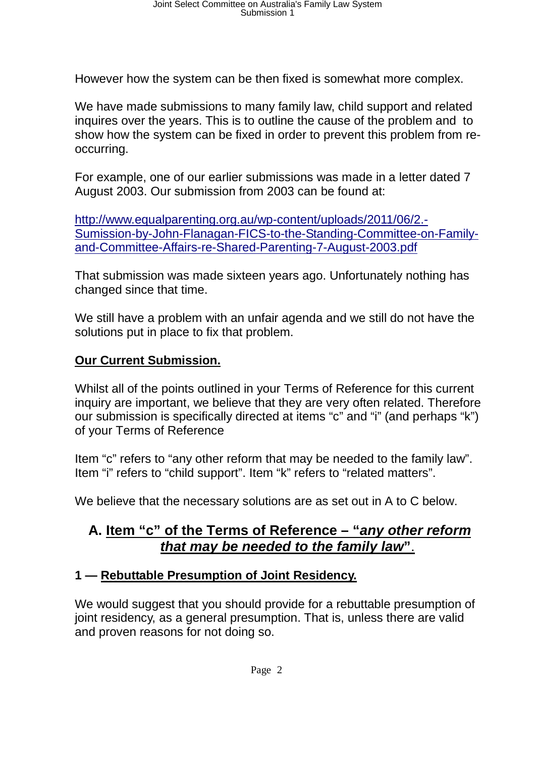However how the system can be then fixed is somewhat more complex.

We have made submissions to many family law, child support and related inquires over the years. This is to outline the cause of the problem and to show how the system can be fixed in order to prevent this problem from reoccurring.

For example, one of our earlier submissions was made in a letter dated 7 August 2003. Our submission from 2003 can be found at:

http://www.equalparenting.org.au/wp-content/uploads/2011/06/2.-Sumission-by-John-Flanagan-FICS-to-the-Standing-Committee-on-Familyand-Committee-Affairs-re-Shared-Parenting-7-August-2003.pdf

That submission was made sixteen years ago. Unfortunately nothing has changed since that time.

We still have a problem with an unfair agenda and we still do not have the solutions put in place to fix that problem.

#### **Our Current Submission.**

Whilst all of the points outlined in your Terms of Reference for this current inquiry are important, we believe that they are very often related. Therefore our submission is specifically directed at items "c" and "i" (and perhaps "k") of your Terms of Reference

Item "c" refers to "any other reform that may be needed to the family law". Item "i" refers to "child support". Item "k" refers to "related matters".

We believe that the necessary solutions are as set out in A to C below.

## **A. Item "c" of the Terms of Reference – "any other reform that may be needed to the family law"**.

### **1 — Rebuttable Presumption of Joint Residency.**

We would suggest that you should provide for a rebuttable presumption of joint residency, as a general presumption. That is, unless there are valid and proven reasons for not doing so.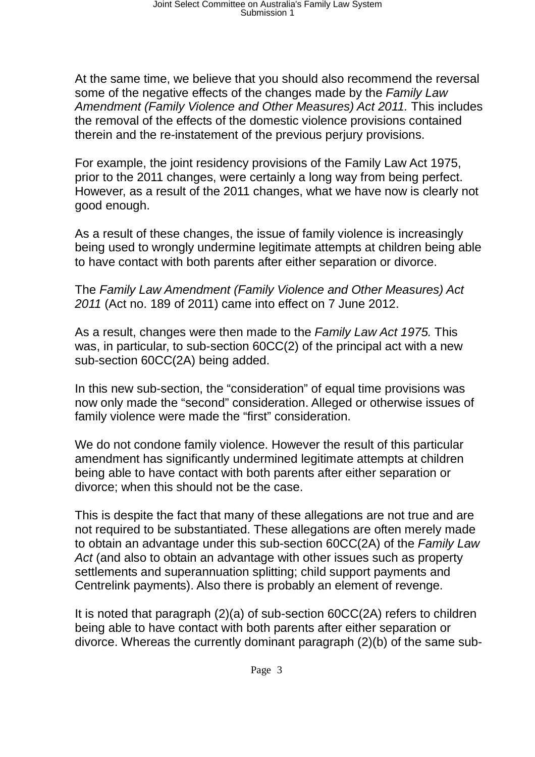At the same time, we believe that you should also recommend the reversal some of the negative effects of the changes made by the Family Law Amendment (Family Violence and Other Measures) Act 2011. This includes the removal of the effects of the domestic violence provisions contained therein and the re-instatement of the previous perjury provisions.

For example, the joint residency provisions of the Family Law Act 1975, prior to the 2011 changes, were certainly a long way from being perfect. However, as a result of the 2011 changes, what we have now is clearly not good enough.

As a result of these changes, the issue of family violence is increasingly being used to wrongly undermine legitimate attempts at children being able to have contact with both parents after either separation or divorce.

The Family Law Amendment (Family Violence and Other Measures) Act 2011 (Act no. 189 of 2011) came into effect on 7 June 2012.

As a result, changes were then made to the Family Law Act 1975. This was, in particular, to sub-section 60CC(2) of the principal act with a new sub-section 60CC(2A) being added.

In this new sub-section, the "consideration" of equal time provisions was now only made the "second" consideration. Alleged or otherwise issues of family violence were made the "first" consideration.

We do not condone family violence. However the result of this particular amendment has significantly undermined legitimate attempts at children being able to have contact with both parents after either separation or divorce; when this should not be the case.

This is despite the fact that many of these allegations are not true and are not required to be substantiated. These allegations are often merely made to obtain an advantage under this sub-section 60CC(2A) of the Family Law Act (and also to obtain an advantage with other issues such as property settlements and superannuation splitting; child support payments and Centrelink payments). Also there is probably an element of revenge.

It is noted that paragraph (2)(a) of sub-section 60CC(2A) refers to children being able to have contact with both parents after either separation or divorce. Whereas the currently dominant paragraph (2)(b) of the same sub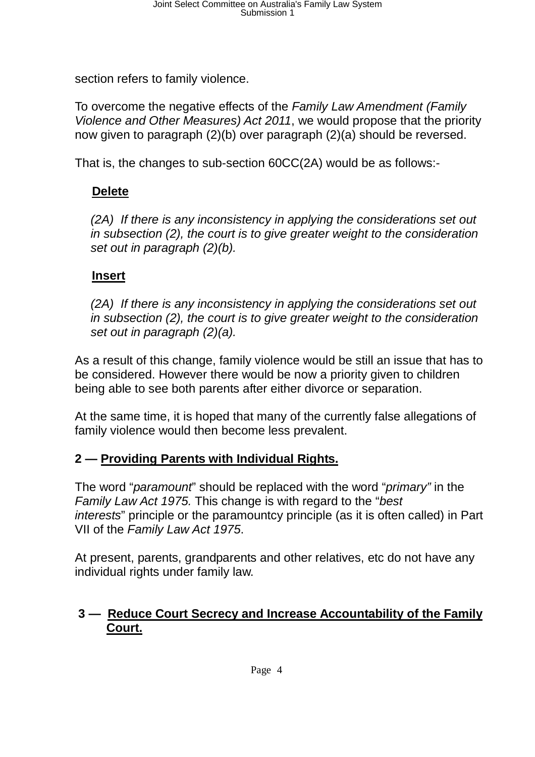section refers to family violence.

To overcome the negative effects of the Family Law Amendment (Family Violence and Other Measures) Act 2011, we would propose that the priority now given to paragraph (2)(b) over paragraph (2)(a) should be reversed.

That is, the changes to sub-section 60CC(2A) would be as follows:-

# **Delete**

(2A) If there is any inconsistency in applying the considerations set out in subsection (2), the court is to give greater weight to the consideration set out in paragraph (2)(b).

## **Insert**

(2A) If there is any inconsistency in applying the considerations set out in subsection (2), the court is to give greater weight to the consideration set out in paragraph (2)(a).

As a result of this change, family violence would be still an issue that has to be considered. However there would be now a priority given to children being able to see both parents after either divorce or separation.

At the same time, it is hoped that many of the currently false allegations of family violence would then become less prevalent.

### **2 — Providing Parents with Individual Rights.**

The word "*paramount*" should be replaced with the word "*primary*" in the Family Law Act 1975. This change is with regard to the "best interests" principle or the paramountcy principle (as it is often called) in Part VII of the Family Law Act 1975.

At present, parents, grandparents and other relatives, etc do not have any individual rights under family law.

## **3 — Reduce Court Secrecy and Increase Accountability of the Family Court.**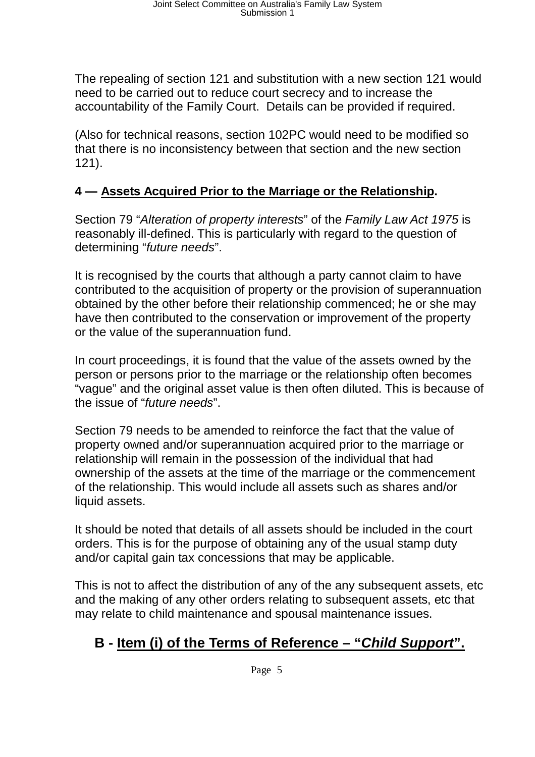The repealing of section 121 and substitution with a new section 121 would need to be carried out to reduce court secrecy and to increase the accountability of the Family Court. Details can be provided if required.

(Also for technical reasons, section 102PC would need to be modified so that there is no inconsistency between that section and the new section 121).

### **4 — Assets Acquired Prior to the Marriage or the Relationship.**

Section 79 "Alteration of property interests" of the Family Law Act 1975 is reasonably ill-defined. This is particularly with regard to the question of determining "*future needs*".

It is recognised by the courts that although a party cannot claim to have contributed to the acquisition of property or the provision of superannuation obtained by the other before their relationship commenced; he or she may have then contributed to the conservation or improvement of the property or the value of the superannuation fund.

In court proceedings, it is found that the value of the assets owned by the person or persons prior to the marriage or the relationship often becomes "vague" and the original asset value is then often diluted. This is because of the issue of "future needs".

Section 79 needs to be amended to reinforce the fact that the value of property owned and/or superannuation acquired prior to the marriage or relationship will remain in the possession of the individual that had ownership of the assets at the time of the marriage or the commencement of the relationship. This would include all assets such as shares and/or liquid assets.

It should be noted that details of all assets should be included in the court orders. This is for the purpose of obtaining any of the usual stamp duty and/or capital gain tax concessions that may be applicable.

This is not to affect the distribution of any of the any subsequent assets, etc and the making of any other orders relating to subsequent assets, etc that may relate to child maintenance and spousal maintenance issues.

# **B - Item (i) of the Terms of Reference – "Child Support".**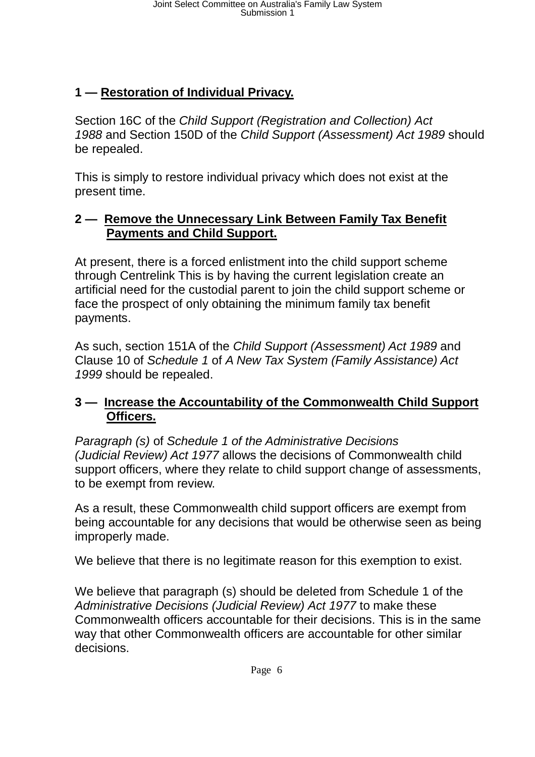# **1 — Restoration of Individual Privacy.**

Section 16C of the Child Support (Registration and Collection) Act 1988 and Section 150D of the Child Support (Assessment) Act 1989 should be repealed.

This is simply to restore individual privacy which does not exist at the present time.

### **2 — Remove the Unnecessary Link Between Family Tax Benefit Payments and Child Support.**

At present, there is a forced enlistment into the child support scheme through Centrelink This is by having the current legislation create an artificial need for the custodial parent to join the child support scheme or face the prospect of only obtaining the minimum family tax benefit payments.

As such, section 151A of the Child Support (Assessment) Act 1989 and Clause 10 of Schedule 1 of A New Tax System (Family Assistance) Act 1999 should be repealed.

### **3 — Increase the Accountability of the Commonwealth Child Support Officers.**

Paragraph (s) of Schedule 1 of the Administrative Decisions (Judicial Review) Act 1977 allows the decisions of Commonwealth child support officers, where they relate to child support change of assessments, to be exempt from review.

As a result, these Commonwealth child support officers are exempt from being accountable for any decisions that would be otherwise seen as being improperly made.

We believe that there is no legitimate reason for this exemption to exist.

We believe that paragraph (s) should be deleted from Schedule 1 of the Administrative Decisions (Judicial Review) Act 1977 to make these Commonwealth officers accountable for their decisions. This is in the same way that other Commonwealth officers are accountable for other similar decisions.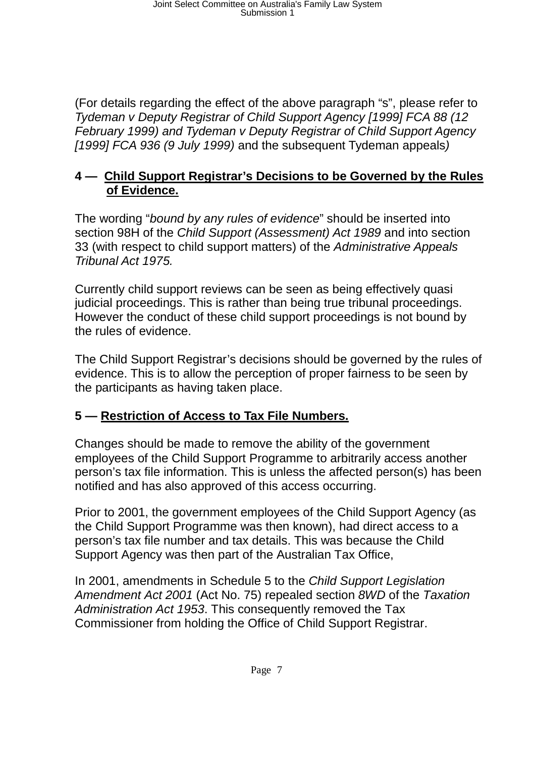(For details regarding the effect of the above paragraph "s", please refer to Tydeman v Deputy Registrar of Child Support Agency [1999] FCA 88 (12 February 1999) and Tydeman v Deputy Registrar of Child Support Agency [1999] FCA 936 (9 July 1999) and the subsequent Tydeman appeals)

### **4 — Child Support Registrar's Decisions to be Governed by the Rules of Evidence.**

The wording "bound by any rules of evidence" should be inserted into section 98H of the Child Support (Assessment) Act 1989 and into section 33 (with respect to child support matters) of the Administrative Appeals Tribunal Act 1975.

Currently child support reviews can be seen as being effectively quasi judicial proceedings. This is rather than being true tribunal proceedings. However the conduct of these child support proceedings is not bound by the rules of evidence.

The Child Support Registrar's decisions should be governed by the rules of evidence. This is to allow the perception of proper fairness to be seen by the participants as having taken place.

### **5 — Restriction of Access to Tax File Numbers.**

Changes should be made to remove the ability of the government employees of the Child Support Programme to arbitrarily access another person's tax file information. This is unless the affected person(s) has been notified and has also approved of this access occurring.

Prior to 2001, the government employees of the Child Support Agency (as the Child Support Programme was then known), had direct access to a person's tax file number and tax details. This was because the Child Support Agency was then part of the Australian Tax Office,

In 2001, amendments in Schedule 5 to the Child Support Legislation Amendment Act 2001 (Act No. 75) repealed section 8WD of the Taxation Administration Act 1953. This consequently removed the Tax Commissioner from holding the Office of Child Support Registrar.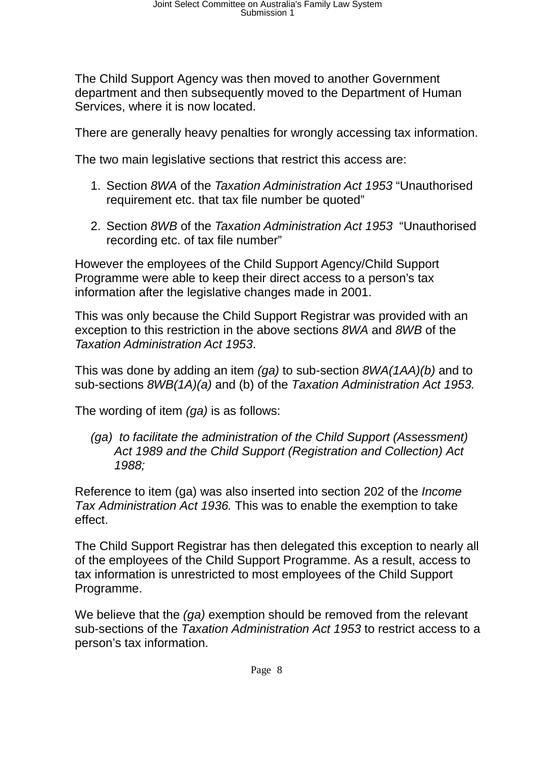The Child Support Agency was then moved to another Government department and then subsequently moved to the Department of Human Services, where it is now located.

There are generally heavy penalties for wrongly accessing tax information.

The two main legislative sections that restrict this access are:

- 1. Section 8WA of the Taxation Administration Act 1953 "Unauthorised requirement etc. that tax file number be quoted"
- 2. Section 8WB of the Taxation Administration Act 1953 "Unauthorised recording etc. of tax file number"

However the employees of the Child Support Agency/Child Support Programme were able to keep their direct access to a person's tax information after the legislative changes made in 2001.

This was only because the Child Support Registrar was provided with an exception to this restriction in the above sections 8WA and 8WB of the Taxation Administration Act 1953.

This was done by adding an item (ga) to sub-section 8WA(1AA)(b) and to sub-sections 8WB(1A)(a) and (b) of the Taxation Administration Act 1953.

The wording of item (ga) is as follows:

(ga) to facilitate the administration of the Child Support (Assessment) Act 1989 and the Child Support (Registration and Collection) Act 1988;

Reference to item (ga) was also inserted into section 202 of the Income Tax Administration Act 1936. This was to enable the exemption to take effect.

The Child Support Registrar has then delegated this exception to nearly all of the employees of the Child Support Programme. As a result, access to tax information is unrestricted to most employees of the Child Support Programme.

We believe that the (ga) exemption should be removed from the relevant sub-sections of the Taxation Administration Act 1953 to restrict access to a person's tax information.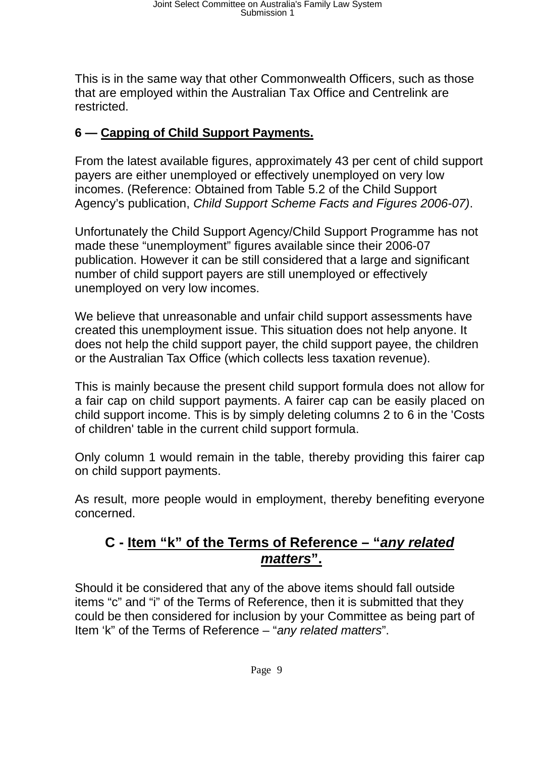This is in the same way that other Commonwealth Officers, such as those that are employed within the Australian Tax Office and Centrelink are restricted.

# **6 — Capping of Child Support Payments.**

From the latest available figures, approximately 43 per cent of child support payers are either unemployed or effectively unemployed on very low incomes. (Reference: Obtained from Table 5.2 of the Child Support Agency's publication, Child Support Scheme Facts and Figures 2006-07).

Unfortunately the Child Support Agency/Child Support Programme has not made these "unemployment" figures available since their 2006-07 publication. However it can be still considered that a large and significant number of child support payers are still unemployed or effectively unemployed on very low incomes.

We believe that unreasonable and unfair child support assessments have created this unemployment issue. This situation does not help anyone. It does not help the child support payer, the child support payee, the children or the Australian Tax Office (which collects less taxation revenue).

This is mainly because the present child support formula does not allow for a fair cap on child support payments. A fairer cap can be easily placed on child support income. This is by simply deleting columns 2 to 6 in the 'Costs of children' table in the current child support formula.

Only column 1 would remain in the table, thereby providing this fairer cap on child support payments.

As result, more people would in employment, thereby benefiting everyone concerned.

# **C - Item "k" of the Terms of Reference – "any related matters".**

Should it be considered that any of the above items should fall outside items "c" and "i" of the Terms of Reference, then it is submitted that they could be then considered for inclusion by your Committee as being part of Item 'k" of the Terms of Reference – "any related matters".